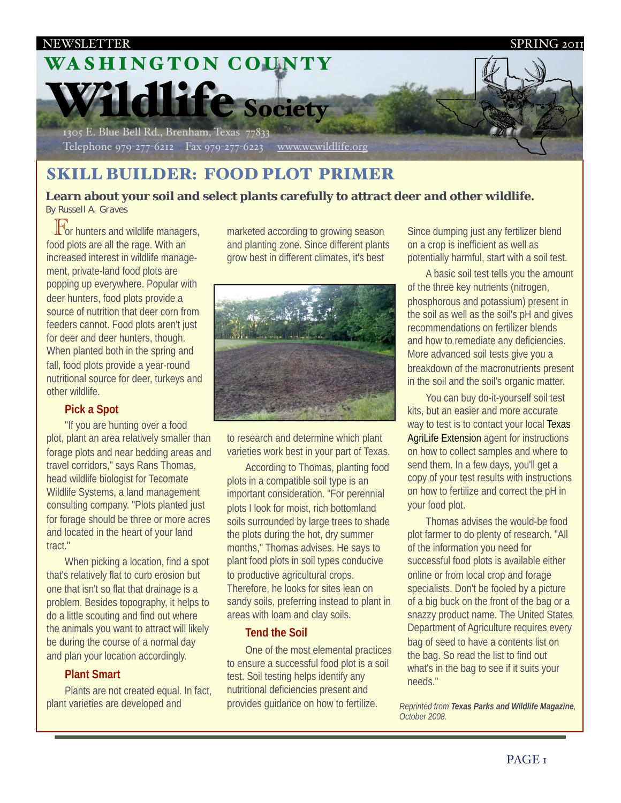

# SKILL BUILDER: FOOD PLOT PRIMER

**Learn about your soil and select plants carefully to attract deer and other wildlife.** By Russell A. Graves

 $\mathbb{F}_{\text{or}}$  hunters and wildlife managers,  $\alpha$  plots are all the rage. With an food plots are all the rage. With an increased interest in wildlife management, private-land food plots are popping up everywhere. Popular with deer hunters, food plots provide a source of nutrition that deer corn from feeders cannot. Food plots aren't just for deer and deer hunters, though. When planted both in the spring and fall, food plots provide a year-round nutritional source for deer, turkeys and other wildlife.

# **Pick a Spot**

"If you are hunting over a food plot, plant an area relatively smaller than forage plots and near bedding areas and travel corridors," says Rans Thomas, head wildlife biologist for Tecomate Wildlife Systems, a land management consulting company. "Plots planted just for forage should be three or more acres and located in the heart of your land tract."

When picking a location, find a spot that's relatively flat to curb erosion but one that isn't so flat that drainage is a problem. Besides topography, it helps to do a little scouting and find out where the animals you want to attract will likely be during the course of a normal day and plan your location accordingly.

# **Plant Smart**

Plants are not created equal. In fact, plant varieties are developed and

marketed according to growing season and planting zone. Since different plants grow best in different climates, it's best



to research and determine which plant varieties work best in your part of Texas.

According to Thomas, planting food plots in a compatible soil type is an important consideration. "For perennial plots I look for moist, rich bottomland soils surrounded by large trees to shade the plots during the hot, dry summer months," Thomas advises. He says to plant food plots in soil types conducive to productive agricultural crops. Therefore, he looks for sites lean on sandy soils, preferring instead to plant in areas with loam and clay soils.

### **Tend the Soil**

One of the most elemental practices to ensure a successful food plot is a soil test. Soil testing helps identify any nutritional deficiencies present and provides guidance on how to fertilize.

Since dumping just any fertilizer blend on a crop is inefficient as well as potentially harmful, start with a soil test.

A basic soil test tells you the amount of the three key nutrients (nitrogen, phosphorous and potassium) present in the soil as well as the soil's pH and gives recommendations on fertilizer blends and how to remediate any deficiencies. More advanced soil tests give you a breakdown of the macronutrients present in the soil and the soil's organic matter.

You can buy do-it-yourself soil test kits, but an easier and more accurate way to test is to contact your local [Texas](http://www.utexas.edu/utpress/books/bedadv.html) [AgriLife Extension](http://www.utexas.edu/utpress/books/bedadv.html) agent for instructions on how to collect samples and where to send them. In a few days, you'll get a copy of your test results with instructions on how to fertilize and correct the pH in your food plot.

Thomas advises the would-be food plot farmer to do plenty of research. "All of the information you need for successful food plots is available either online or from local crop and forage specialists. Don't be fooled by a picture of a big buck on the front of the bag or a snazzy product name. The United States Department of Agriculture requires every bag of seed to have a contents list on the bag. So read the list to find out what's in the bag to see if it suits your needs."

*Reprinted from Texas Parks and Wildlife Magazine, October 2008.*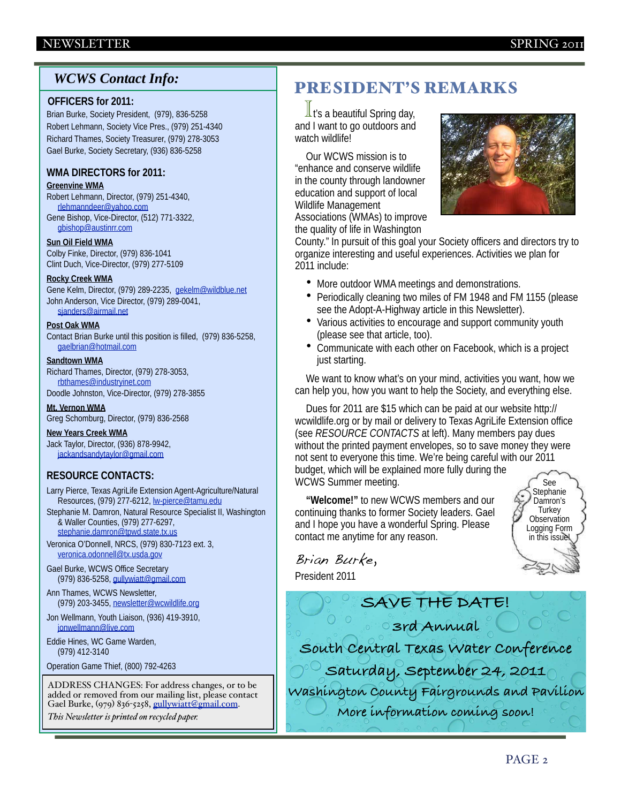### NEWSLETTER SPRING 2011

# *WCWS Contact Info:*

#### **OFFICERS for 2011:**

Brian Burke, Society President, (979), 836-5258 Robert Lehmann, Society Vice Pres., (979) 251-4340 Richard Thames, Society Treasurer, (979) 278-3053 Gael Burke, Society Secretary, (936) 836-5258

#### **WMA DIRECTORS for 2011:**

**Greenvine WMA** 

Robert Lehmann, Director, (979) 251-4340, [rlehmanndeer@yahoo.com](mailto:rlehmanndeer@yahoo.com) Gene Bishop, Vice-Director, (512) 771-3322,

[gbishop@austinrr.com](mailto:gbishop@austinrr.com)

**Sun Oil Field WMA**  Colby Finke, Director, (979) 836-1041 Clint Duch, Vice-Director, (979) 277-5109

#### **Rocky Creek WMA**

Gene Kelm, Director, (979) 289-2235, [gekelm@wildblue.net](mailto:gekelm@wildblue.net) John Anderson, Vice Director, (979) 289-0041, [sjanders@airmail.net](mailto:sjanders@airmail.net)

#### **Post Oak WMA**

Contact Brian Burke until this position is filled, (979) 836-5258, [gaelbrian@hotmail.com](mailto:gaelbrian@hotmail.com)

#### **Sandtown WMA**

Richard Thames, Director, (979) 278-3053, [rbthames@industryinet.com](mailto:rbthames@industryinet.com)

Doodle Johnston, Vice-Director, (979) 278-3855

**Mt. Vernon WMA**  Greg Schomburg, Director, (979) 836-2568

**New Years Creek WMA**  Jack Taylor, Director, (936) 878-9942, [jackandsandytaylor@gmail.com](mailto:jackandsandytaylor@gmail.com)

### **RESOURCE CONTACTS:**

Larry Pierce, Texas AgriLife Extension Agent-Agriculture/Natural Resources, (979) 277-6212, <u>lw-pierce@tamu.edu</u>

Stephanie M. Damron, Natural Resource Specialist II, Washington & Waller Counties, (979) 277-6297, [stephanie.damron@tpwd.state.tx.us](mailto:stephanie.damron@tpwd.state.tx.us)

Veronica O'Donnell, NRCS, (979) 830-7123 ext. 3, [veronica.odonnell@tx.usda.gov](mailto:veronica.odonnell@tx.usda.gov)

Gael Burke, WCWS Office Secretary (979) 836-5258, [gullywiatt@gmail.com](mailto:gullywiatt@gmail.com)

Ann Thames, WCWS Newsletter, (979) 203-3455, [newsletter@wcwildlife.org](mailto:newsletter@wcwildlife.org)

Jon Wellmann, Youth Liaison, (936) 419-3910, [jonwellmann@live.com](mailto:jonwellmann@live.com)

Eddie Hines, WC Game Warden, (979) 412-3140

Operation Game Thief, (800) 792-4263

ADDRESS CHANGES: For address changes, or to be added or removed from our mailing list, please contact Gael Burke, (979) 836-5258, [gullywiatt@gmail.com.](mailto:secretary@wcwildlife.org)

*This Newsletter is printed on recycled paper.*

# PRESIDENT'S REMARKS

 $\frac{1}{1}$  t's a beautiful Spring day,<br>d I want to go outdoors and and I want to go outdoors and watch wildlife!

Our WCWS mission is to "enhance and conserve wildlife in the county through landowner education and support of local Wildlife Management Associations (WMAs) to improve the quality of life in Washington



County." In pursuit of this goal your Society officers and directors try to organize interesting and useful experiences. Activities we plan for 2011 include:

- More outdoor WMA meetings and demonstrations.
- Periodically cleaning two miles of FM 1948 and FM 1155 (please see the Adopt-A-Highway article in this Newsletter).
- Various activities to encourage and support community youth (please see that article, too).
- Communicate with each other on Facebook, which is a project just starting.

We want to know what's on your mind, activities you want, how we can help you, how you want to help the Society, and everything else.

Dues for 2011 are \$15 which can be paid at our website [http://](http://wcwildlife.org) [wcwildlife.org](http://wcwildlife.org) or by mail or delivery to Texas AgriLife Extension office (see *RESOURCE CONTACTS* at left). Many members pay dues without the printed payment envelopes, so to save money they were not sent to everyone this time. We're being careful with our 2011 budget, which will be explained more fully during the WCWS Summer meeting. See

**"Welcome!"** to new WCWS members and our continuing thanks to former Society leaders. Gael and I hope you have a wonderful Spring. Please contact me anytime for any reason.



Brian Burke,

President 2011

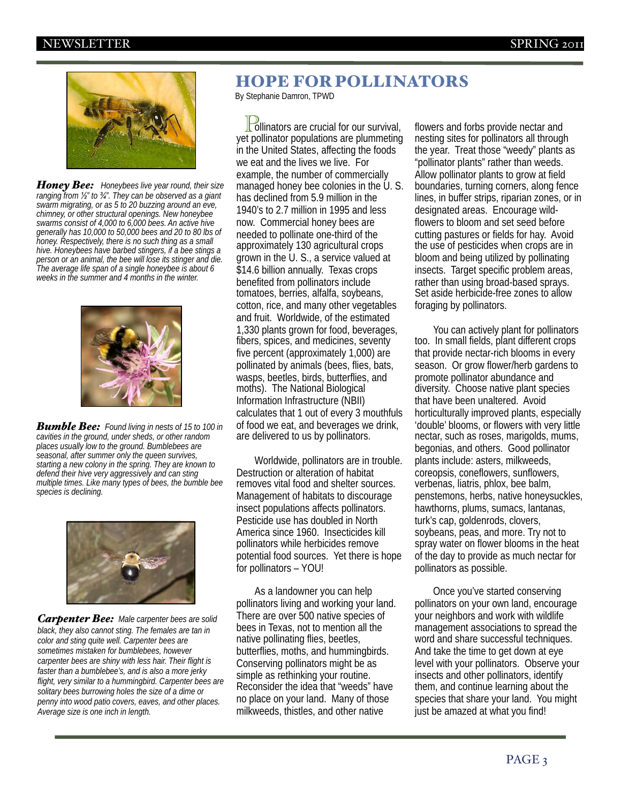

*Honey Bee: Honeybees live year round, their size ranging from ½" to ¾". They can be observed as a giant swarm migrating, or as 5 to 20 buzzing around an eve, chimney, or other structural openings. New honeybee swarms consist of 4,000 to 6,000 bees. An active hive generally has 10,000 to 50,000 bees and 20 to 80 lbs of honey. Respectively, there is no such thing as a small hive. Honeybees have barbed stingers, if a bee stings a person or an animal, the bee will lose its stinger and die. The average life span of a single honeybee is about 6 weeks in the summer and 4 months in the winter.*



*Bumble Bee: Found living in nests of 15 to 100 in cavities in the ground, under sheds, or other random places usually low to the ground. Bumblebees are seasonal, after summer only the queen survives, starting a new colony in the spring. They are known to defend their hive very aggressively and can sting multiple times. Like many types of bees, the bumble bee species is declining.*



*Carpenter Bee: Male carpenter bees are solid black, they also cannot sting. The females are tan in color and sting quite well. Carpenter bees are sometimes mistaken for bumblebees, however carpenter bees are shiny with less hair. Their flight is faster than a bumblebee's, and is also a more jerky flight, very similar to a hummingbird. Carpenter bees are solitary bees burrowing holes the size of a dime or penny into wood patio covers, eaves, and other places. Average size is one inch in length.*

# HOPE FOR POLLINATORS

By Stephanie Damron, TPWD

 $\Gamma$ ollinators are crucial for our survival,<br>et pollinator populations are plummeting yet pollinator populations are plummeting in the United States, affecting the foods we eat and the lives we live. For example, the number of commercially managed honey bee colonies in the U.S. has declined from 5.9 million in the 1940's to 2.7 million in 1995 and less now. Commercial honey bees are needed to pollinate one-third of the approximately 130 agricultural crops grown in the U. S., a service valued at \$14.6 billion annually. Texas crops benefited from pollinators include tomatoes, berries, alfalfa, soybeans, cotton, rice, and many other vegetables and fruit. Worldwide, of the estimated 1,330 plants grown for food, beverages, fibers, spices, and medicines, seventy five percent (approximately 1,000) are pollinated by animals (bees, flies, bats, wasps, beetles, birds, butterflies, and moths). The National Biological Information Infrastructure (NBII) calculates that 1 out of every 3 mouthfuls of food we eat, and beverages we drink, are delivered to us by pollinators.

Worldwide, pollinators are in trouble. Destruction or alteration of habitat removes vital food and shelter sources. Management of habitats to discourage insect populations affects pollinators. Pesticide use has doubled in North America since 1960. Insecticides kill pollinators while herbicides remove potential food sources. Yet there is hope for pollinators – YOU!

As a landowner you can help pollinators living and working your land. There are over 500 native species of bees in Texas, not to mention all the native pollinating flies, beetles, butterflies, moths, and hummingbirds. Conserving pollinators might be as simple as rethinking your routine. Reconsider the idea that "weeds" have no place on your land. Many of those milkweeds, thistles, and other native

flowers and forbs provide nectar and nesting sites for pollinators all through the year. Treat those "weedy" plants as "pollinator plants" rather than weeds. Allow pollinator plants to grow at field boundaries, turning corners, along fence lines, in buffer strips, riparian zones, or in designated areas. Encourage wildflowers to bloom and set seed before cutting pastures or fields for hay. Avoid the use of pesticides when crops are in bloom and being utilized by pollinating insects. Target specific problem areas, rather than using broad-based sprays. Set aside herbicide-free zones to allow foraging by pollinators.

You can actively plant for pollinators too. In small fields, plant different crops that provide nectar-rich blooms in every season. Or grow flower/herb gardens to promote pollinator abundance and diversity. Choose native plant species that have been unaltered. Avoid horticulturally improved plants, especially 'double' blooms, or flowers with very little nectar, such as roses, marigolds, mums, begonias, and others. Good pollinator plants include: asters, milkweeds, coreopsis, coneflowers, sunflowers, verbenas, liatris, phlox, bee balm, penstemons, herbs, native honeysuckles, hawthorns, plums, sumacs, lantanas, turk's cap, goldenrods, clovers, soybeans, peas, and more. Try not to spray water on flower blooms in the heat of the day to provide as much nectar for pollinators as possible.

Once you've started conserving pollinators on your own land, encourage your neighbors and work with wildlife management associations to spread the word and share successful techniques. And take the time to get down at eye level with your pollinators. Observe your insects and other pollinators, identify them, and continue learning about the species that share your land. You might just be amazed at what you find!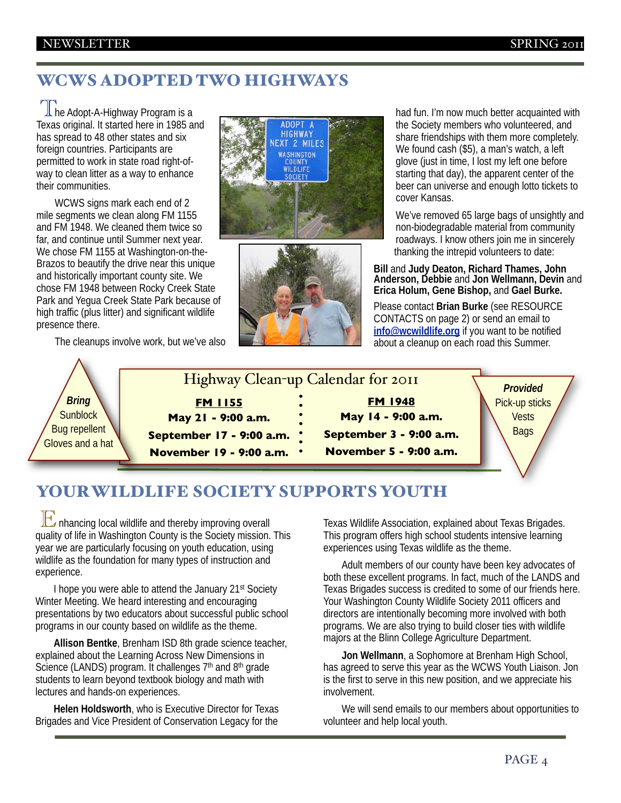# WCWS ADOPTED TWO HIGHWAYS

∫ ∐he Adopt-A-Highway Program is a<br>Texas original. It started here in 1985 ar Texas original. It started here in 1985 and has spread to 48 other states and six foreign countries. Participants are permitted to work in state road right-ofway to clean litter as a way to enhance their communities.

WCWS signs mark each end of 2 mile segments we clean along FM 1155 and FM 1948. We cleaned them twice so far, and continue until Summer next year. We chose FM 1155 at Washington-on-the-Brazos to beautify the drive near this unique and historically important county site. We chose FM 1948 between Rocky Creek State Park and Yegua Creek State Park because of high traffic (plus litter) and significant wildlife presence there.

The cleanups involve work, but we've also





had fun. I'm now much better acquainted with the Society members who volunteered, and share friendships with them more completely. We found cash (\$5), a man's watch, a left glove (just in time, I lost my left one before starting that day), the apparent center of the beer can universe and enough lotto tickets to cover Kansas.

We've removed 65 large bags of unsightly and non-biodegradable material from community roadways. I know others join me in sincerely thanking the intrepid volunteers to date:

**Bill** and **Judy Deaton, Richard Thames, John Anderson, Debbie** and **Jon Wellmann, Devin** and **Erica Holum, Gene Bishop,** and **Gael Burke.**

Please contact **Brian Burke** (see RESOURCE CONTACTS on page 2) or send an email to **[info@wcwildlife.org](mailto:info@wcwildlife.org)** if you want to be notified about a cleanup on each road this Summer.



# YOUR WILDLIFE SOCIETY SUPPORTS YOUTH

 $\mathbb{E}$  nhancing local wildlife and thereby improving overall<br>uality of life in Washington County is the Society mission quality of life in Washington County is the Society mission. This year we are particularly focusing on youth education, using wildlife as the foundation for many types of instruction and experience.

I hope you were able to attend the January 21<sup>st</sup> Society Winter Meeting. We heard interesting and encouraging presentations by two educators about successful public school programs in our county based on wildlife as the theme.

**Allison Bentke**, Brenham ISD 8th grade science teacher, explained about the Learning Across New Dimensions in Science (LANDS) program. It challenges 7<sup>th</sup> and 8<sup>th</sup> grade students to learn beyond textbook biology and math with lectures and hands-on experiences.

**Helen Holdsworth**, who is Executive Director for Texas Brigades and Vice President of Conservation Legacy for the

Texas Wildlife Association, explained about Texas Brigades. This program offers high school students intensive learning experiences using Texas wildlife as the theme.

Adult members of our county have been key advocates of both these excellent programs. In fact, much of the LANDS and Texas Brigades success is credited to some of our friends here. Your Washington County Wildlife Society 2011 officers and directors are intentionally becoming more involved with both programs. We are also trying to build closer ties with wildlife majors at the Blinn College Agriculture Department.

**Jon Wellmann**, a Sophomore at Brenham High School, has agreed to serve this year as the WCWS Youth Liaison. Jon is the first to serve in this new position, and we appreciate his involvement.

We will send emails to our members about opportunities to volunteer and help local youth.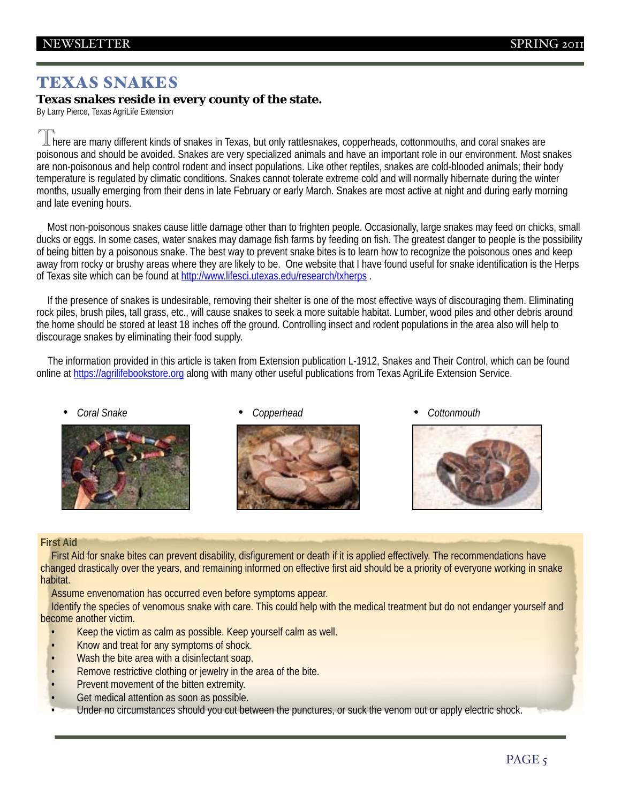# TEXAS SNAKES

**Texas snakes reside in every county of the state.** By Larry Pierce, Texas AgriLife Extension

 $\mathbb T$  here are many different kinds of snakes in Texas, but only rattlesnakes, copperheads, cottonmouths, and coral snakes are<br>poisonous and should be avoided. Snakes are very specialized animals and have an important ro poisonous and should be avoided. Snakes are very specialized animals and have an important role in our environment. Most snakes are non-poisonous and help control rodent and insect populations. Like other reptiles, snakes are cold-blooded animals; their body temperature is regulated by climatic conditions. Snakes cannot tolerate extreme cold and will normally hibernate during the winter months, usually emerging from their dens in late February or early March. Snakes are most active at night and during early morning and late evening hours.

Most non-poisonous snakes cause little damage other than to frighten people. Occasionally, large snakes may feed on chicks, small ducks or eggs. In some cases, water snakes may damage fish farms by feeding on fish. The greatest danger to people is the possibility of being bitten by a poisonous snake. The best way to prevent snake bites is to learn how to recognize the poisonous ones and keep away from rocky or brushy areas where they are likely to be. One website that I have found useful for snake identification is the Herps of Texas site which can be found at<http://www.lifesci.utexas.edu/research/txherps>.

If the presence of snakes is undesirable, removing their shelter is one of the most effective ways of discouraging them. Eliminating rock piles, brush piles, tall grass, etc., will cause snakes to seek a more suitable habitat. Lumber, wood piles and other debris around the home should be stored at least 18 inches off the ground. Controlling insect and rodent populations in the area also will help to discourage snakes by eliminating their food supply.

The information provided in this article is taken from Extension publication L-1912, Snakes and Their Control, which can be found online at<https://agrilifebookstore.org>along with many other useful publications from Texas AgriLife Extension Service.





• *Coral Snake* • *Copperhead* • *Cottonmouth*



### **First Aid**

First Aid for snake bites can prevent disability, disfigurement or death if it is applied effectively. The recommendations have changed drastically over the years, and remaining informed on effective first aid should be a priority of everyone working in snake habitat.

Assume envenomation has occurred even before symptoms appear.

Identify the species of venomous snake with care. This could help with the medical treatment but do not endanger yourself and become another victim.

- Keep the victim as calm as possible. Keep yourself calm as well.
- Know and treat for any symptoms of shock.
- Wash the bite area with a disinfectant soap.
- Remove restrictive clothing or jewelry in the area of the bite.
- Prevent movement of the bitten extremity.
- Get medical attention as soon as possible.
- Under no circumstances should you cut between the punctures, or suck the venom out or apply electric shock.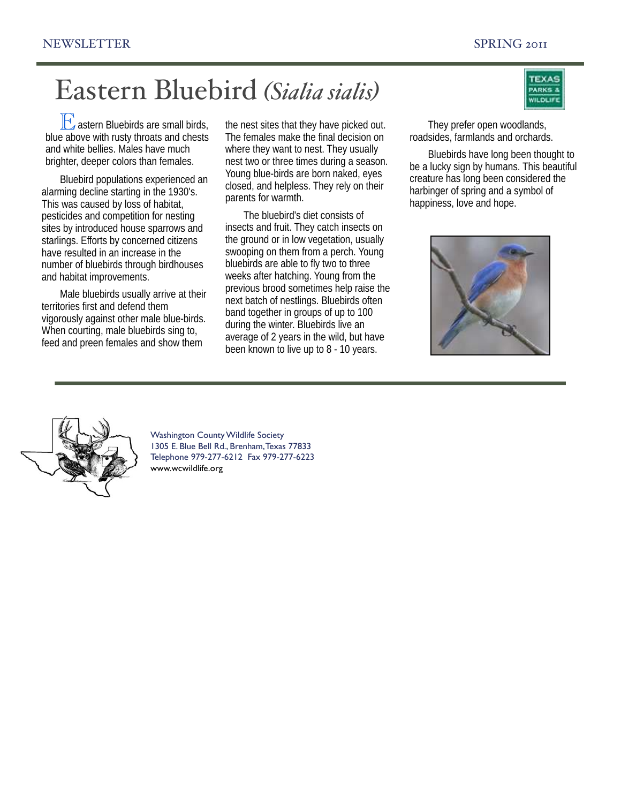# Eastern Bluebird *(Sialia sialis)*

 $\mathbb{E}$  astern Bluebirds are small birds, above with rusty throats and chests blue above with rusty throats and chests and white bellies. Males have much brighter, deeper colors than females.

Bluebird populations experienced an alarming decline starting in the 1930's. This was caused by loss of habitat, pesticides and competition for nesting sites by introduced house sparrows and starlings. Efforts by concerned citizens have resulted in an increase in the number of bluebirds through birdhouses and habitat improvements.

Male bluebirds usually arrive at their territories first and defend them vigorously against other male blue-birds. When courting, male bluebirds sing to, feed and preen females and show them

the nest sites that they have picked out. The females make the final decision on where they want to nest. They usually nest two or three times during a season. Young blue-birds are born naked, eyes closed, and helpless. They rely on their parents for warmth.

The bluebird's diet consists of insects and fruit. They catch insects on the ground or in low vegetation, usually swooping on them from a perch. Young bluebirds are able to fly two to three weeks after hatching. Young from the previous brood sometimes help raise the next batch of nestlings. Bluebirds often band together in groups of up to 100 during the winter. Bluebirds live an average of 2 years in the wild, but have been known to live up to 8 - 10 years.



They prefer open woodlands, roadsides, farmlands and orchards.

Bluebirds have long been thought to be a lucky sign by humans. This beautiful creature has long been considered the harbinger of spring and a symbol of happiness, love and hope.





Washington County Wildlife Society 1305 E. Blue Bell Rd., Brenham, Texas 77833 Telephone 979-277-6212 Fax 979-277-6223 [www.wcwildlife.org](http://www.wcwildlife.org)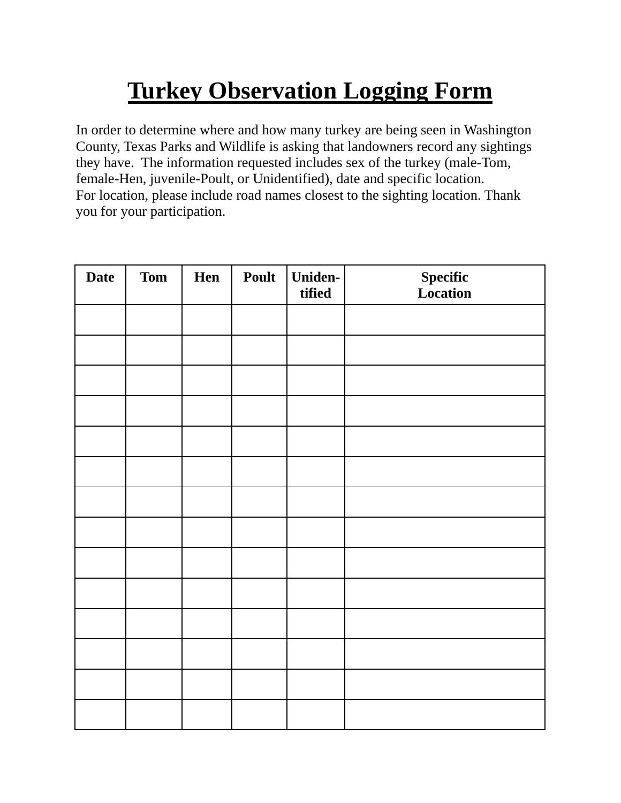# **Turkey Observation Logging Form**

In order to determine where and how many turkey are being seen in Washington County, Texas Parks and Wildlife is asking that landowners record any sightings they have. The information requested includes sex of the turkey (male-Tom, female-Hen, juvenile-Poult, or Unidentified), date and specific location. For location, please include road names closest to the sighting location. Thank you for your participation.

| <b>Date</b> | <b>Tom</b> | Hen | Poult | <b>Uniden-</b><br>tified | <b>Specific</b><br>Location |
|-------------|------------|-----|-------|--------------------------|-----------------------------|
|             |            |     |       |                          |                             |
|             |            |     |       |                          |                             |
|             |            |     |       |                          |                             |
|             |            |     |       |                          |                             |
|             |            |     |       |                          |                             |
|             |            |     |       |                          |                             |
|             |            |     |       |                          |                             |
|             |            |     |       |                          |                             |
|             |            |     |       |                          |                             |
|             |            |     |       |                          |                             |
|             |            |     |       |                          |                             |
|             |            |     |       |                          |                             |
|             |            |     |       |                          |                             |
|             |            |     |       |                          |                             |